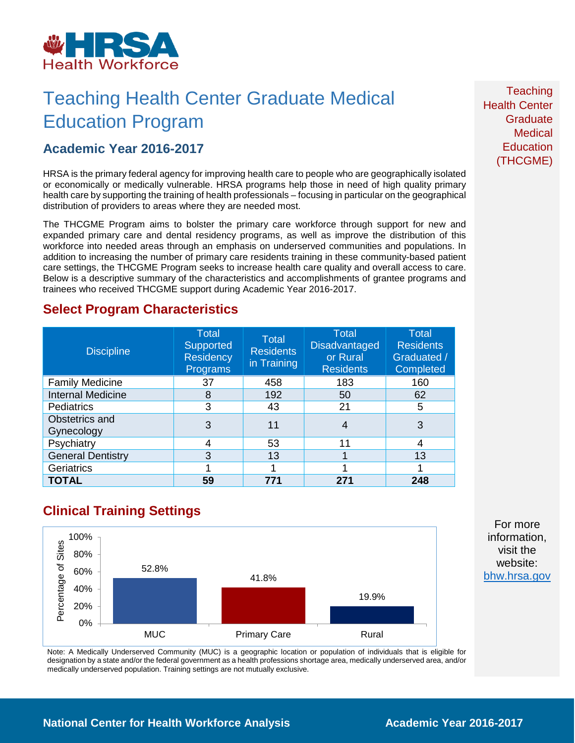

## Teaching Health Center Graduate Medical Education Program

### **Academic Year 2016-2017**

HRSA is the primary federal agency for improving health care to people who are geographically isolated or economically or medically vulnerable. HRSA programs help those in need of high quality primary health care by supporting the training of health professionals – focusing in particular on the geographical distribution of providers to areas where they are needed most.

The THCGME Program aims to bolster the primary care workforce through support for new and expanded primary care and dental residency programs, as well as improve the distribution of this workforce into needed areas through an emphasis on underserved communities and populations. In addition to increasing the number of primary care residents training in these community-based patient care settings, the THCGME Program seeks to increase health care quality and overall access to care. Below is a descriptive summary of the characteristics and accomplishments of grantee programs and trainees who received THCGME support during Academic Year 2016-2017.

### **Select Program Characteristics**

| <b>Discipline</b>            | <b>Total</b><br>Supported<br><b>Residency</b><br>Programs | Total<br><b>Residents</b><br>in Training | <b>Total</b><br><b>Disadvantaged</b><br>or Rural<br><b>Residents</b> | <b>Total</b><br><b>Residents</b><br>Graduated /<br>Completed |
|------------------------------|-----------------------------------------------------------|------------------------------------------|----------------------------------------------------------------------|--------------------------------------------------------------|
| <b>Family Medicine</b>       | 37                                                        | 458                                      | 183                                                                  | 160                                                          |
| <b>Internal Medicine</b>     | 8                                                         | 192                                      | 50                                                                   | 62                                                           |
| <b>Pediatrics</b>            | 3                                                         | 43                                       | 21                                                                   | 5                                                            |
| Obstetrics and<br>Gynecology | 3                                                         | 11                                       | 4                                                                    | 3                                                            |
| Psychiatry                   | 4                                                         | 53                                       | 11                                                                   | 4                                                            |
| <b>General Dentistry</b>     | 3                                                         | 13                                       |                                                                      | 13                                                           |
| Geriatrics                   |                                                           |                                          |                                                                      |                                                              |
| <b>TOTAL</b>                 | 59                                                        | 771                                      | 271                                                                  | 248                                                          |

## **Clinical Training Settings**



Note: A Medically Underserved Community (MUC) is a geographic location or population of individuals that is eligible for designation by a state and/or the federal government as a health professions shortage area, medically underserved area, and/or medically underserved population. Training settings are not mutually exclusive.

**Teaching** Health Center **Graduate Medical Education** (THCGME)

For more information, visit the website: [bhw.hrsa.gov](http://bhw.hrsa.gov/)

**National Center for Health Workforce Analysis Mational Center 2016-2017**